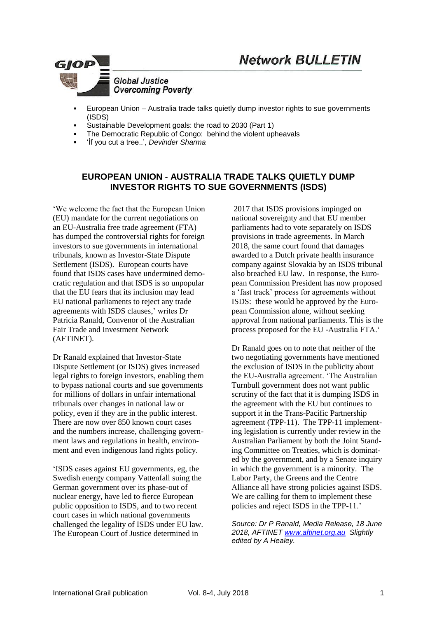

- European Union Australia trade talks quietly dump investor rights to sue governments (ISDS)
- Sustainable Development goals: the road to 2030 (Part 1)
- The Democratic Republic of Congo: behind the violent upheavals
- 'Íf you cut a tree..', *Devinder Sharma*

## **EUROPEAN UNION - AUSTRALIA TRADE TALKS QUIETLY DUMP INVESTOR RIGHTS TO SUE GOVERNMENTS (ISDS)**

'We welcome the fact that the European Union (EU) mandate for the current negotiations on an EU-Australia free trade agreement (FTA) has dumped the controversial rights for foreign investors to sue governments in international tribunals, known as Investor-State Dispute Settlement (ISDS). European courts have found that ISDS cases have undermined democratic regulation and that ISDS is so unpopular that the EU fears that its inclusion may lead EU national parliaments to reject any trade agreements with ISDS clauses,' writes Dr Patricia Ranald, Convenor of the Australian Fair Trade and Investment Network (AFTINET).

Dr Ranald explained that Investor-State Dispute Settlement (or ISDS) gives increased legal rights to foreign investors, enabling them to bypass national courts and sue governments for millions of dollars in unfair international tribunals over changes in national law or policy, even if they are in the public interest. There are now over 850 known court cases and the numbers increase, challenging government laws and regulations in health, environment and even indigenous land rights policy.

'ISDS cases against EU governments, eg, the Swedish energy company Vattenfall suing the German government over its phase-out of nuclear energy, have led to fierce European public opposition to ISDS, and to two recent court cases in which national governments challenged the legality of ISDS under EU law. The European Court of Justice determined in

2017 that ISDS provisions impinged on national sovereignty and that EU member parliaments had to vote separately on ISDS provisions in trade agreements. In March 2018, the same court found that damages awarded to a Dutch private health insurance company against Slovakia by an ISDS tribunal also breached EU law. In response, the European Commission President has now proposed a 'fast track' process for agreements without ISDS: these would be approved by the European Commission alone, without seeking approval from national parliaments. This is the process proposed for the EU -Australia FTA.'

Dr Ranald goes on to note that neither of the two negotiating governments have mentioned the exclusion of ISDS in the publicity about the EU-Australia agreement. 'The Australian Turnbull government does not want public scrutiny of the fact that it is dumping ISDS in the agreement with the EU but continues to support it in the Trans-Pacific Partnership agreement (TPP-11). The TPP-11 implementing legislation is currently under review in the Australian Parliament by both the Joint Standing Committee on Treaties, which is dominated by the government, and by a Senate inquiry in which the government is a minority. The Labor Party, the Greens and the Centre Alliance all have strong policies against ISDS. We are calling for them to implement these policies and reject ISDS in the TPP-11.'

*Source: Dr P Ranald, Media Release, 18 June 2018, AFTINET [www.aftinet.org.au](http://www.aftinet.org.au/) Slightly edited by A Healey.*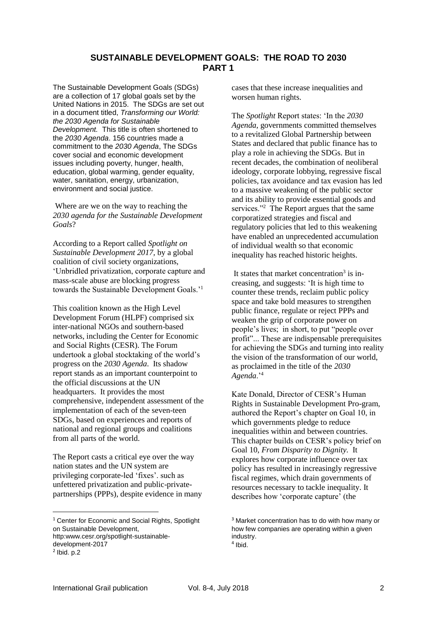#### **SUSTAINABLE DEVELOPMENT GOALS: THE ROAD TO 2030 PART 1**

The Sustainable Development Goals (SDGs) are a collection of 17 global goals set by the United Nations in 2015. The SDGs are set out in a document titled, *Transforming our World: the 2030 Agenda for Sustainable Development.* This title is often shortened to the *2030 Agenda*. 156 countries made a commitment to the *2030 Agenda*, The SDGs cover social and economic development issues including poverty, hunger, health, education, global warming, gender equality, water, sanitation, energy, urbanization, environment and social justice.

Where are we on the way to reaching the *2030 agenda for the Sustainable Development Goals*?

According to a Report called *Spotlight on Sustainable Development 2017,* by a global coalition of civil society organizations, 'Unbridled privatization, corporate capture and mass-scale abuse are blocking progress towards the Sustainable Development Goals.'<sup>1</sup>

This coalition known as the High Level Development Forum (HLPF) comprised six inter-national NGOs and southern-based networks, including the Center for Economic and Social Rights (CESR). The Forum undertook a global stocktaking of the world's progress on the *2030 Agenda*. Its shadow report stands as an important counterpoint to the official discussions at the UN headquarters. It provides the most comprehensive, independent assessment of the implementation of each of the seven-teen SDGs, based on experiences and reports of national and regional groups and coalitions from all parts of the world.

The Report casts a critical eye over the way nation states and the UN system are privileging corporate-led 'fixes'. such as unfettered privatization and public-privatepartnerships (PPPs), despite evidence in many

1

cases that these increase inequalities and worsen human rights.

The *Spotlight* Report states: 'In the *2030 Agenda,* governments committed themselves to a revitalized Global Partnership between States and declared that public finance has to play a role in achieving the SDGs. But in recent decades, the combination of neoliberal ideology, corporate lobbying, regressive fiscal policies, tax avoidance and tax evasion has led to a massive weakening of the public sector and its ability to provide essential goods and services."<sup>2</sup> The Report argues that the same corporatized strategies and fiscal and regulatory policies that led to this weakening have enabled an unprecedented accumulation of individual wealth so that economic inequality has reached historic heights.

It states that market concentration<sup>3</sup> is increasing, and suggests: 'It is high time to counter these trends, reclaim public policy space and take bold measures to strengthen public finance, regulate or reject PPPs and weaken the grip of corporate power on people's lives; in short, to put "people over profit"... These are indispensable prerequisites for achieving the SDGs and turning into reality the vision of the transformation of our world, as proclaimed in the title of the *2030 Agenda*.'<sup>4</sup>

Kate Donald, Director of CESR's Human Rights in Sustainable Development Pro-gram, authored the Report's chapter on Goal 10, in which governments pledge to reduce inequalities within and between countries. This chapter builds on CESR's policy brief on Goal 10, *From Disparity to Dignity.* It explores how corporate influence over tax policy has resulted in increasingly regressive fiscal regimes, which drain governments of resources necessary to tackle inequality. It describes how 'corporate capture' (the

<sup>&</sup>lt;sup>1</sup> Center for Economic and Social Rights, Spotlight on Sustainable Development, http:www.cesr.org/spotlight-sustainabledevelopment-2017

 $<sup>2</sup>$  lbid. p.2</sup>

<sup>&</sup>lt;sup>3</sup> Market [concentration](https://www.wisegeek.com/what-is-concentration.htm) has to do with how many or how few companies are operating within a given industry.

<sup>4</sup> Ibid.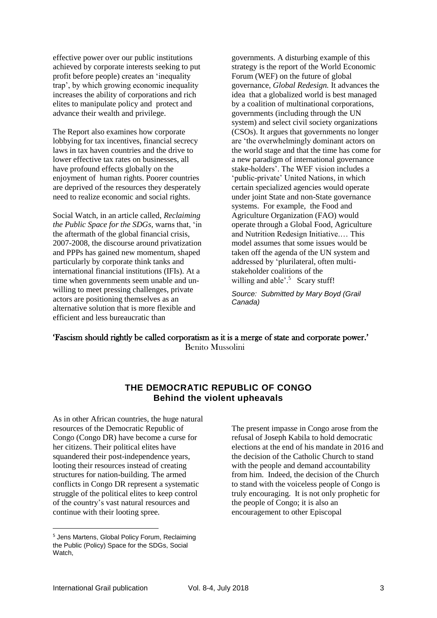effective power over our public institutions achieved by corporate interests seeking to put profit before people) creates an 'inequality trap', by which growing economic inequality increases the ability of corporations and rich elites to manipulate policy and protect and advance their wealth and privilege.

The Report also examines how corporate lobbying for tax incentives, financial secrecy laws in tax haven countries and the drive to lower effective tax rates on businesses, all have profound effects globally on the enjoyment of human rights. Poorer countries are deprived of the resources they desperately need to realize economic and social rights.

Social Watch, in an article called, *Reclaiming the Public Space for the SDGs,* warns that, 'in the aftermath of the global financial crisis, 2007-2008, the discourse around privatization and PPPs has gained new momentum, shaped particularly by corporate think tanks and international financial institutions (IFIs). At a time when governments seem unable and unwilling to meet pressing challenges, private actors are positioning themselves as an alternative solution that is more flexible and efficient and less bureaucratic than

governments. A disturbing example of this strategy is the report of the World Economic Forum (WEF) on the future of global governance, *Global Redesign.* It advances the idea that a globalized world is best managed by a coalition of multinational corporations, governments (including through the UN system) and select civil society organizations (CSOs). It argues that governments no longer are 'the overwhelmingly dominant actors on the world stage and that the time has come for a new paradigm of international governance stake-holders'. The WEF vision includes a 'public-private' United Nations, in which certain specialized agencies would operate under joint State and non-State governance systems. For example, the Food and Agriculture Organization (FAO) would operate through a Global Food, Agriculture and Nutrition Redesign Initiative.… This model assumes that some issues would be taken off the agenda of the UN system and addressed by 'plurilateral, often multistakeholder coalitions of the willing and able'.<sup>5</sup> Scary stuff!

*Source: Submitted by Mary Boyd (Grail Canada)*

#### 'Fascism should rightly be called corporatism as it is a merge of state and corporate power.' Benito Mussolini

### **THE DEMOCRATIC REPUBLIC OF CONGO Behind the violent upheavals**

As in other African countries, the huge natural resources of the Democratic Republic of Congo (Congo DR) have become a curse for her citizens. Their political elites have squandered their post-independence years, looting their resources instead of creating structures for nation-building. The armed conflicts in Congo DR represent a systematic struggle of the political elites to keep [control](https://www.theguardian.com/world/2018/jan/23/congo-steps-up-deadly-crackdown-after-more-protests-against-kabila) of the country's vast natural [resources](https://www.theguardian.com/world/2018/jan/23/congo-steps-up-deadly-crackdown-after-more-protests-against-kabila) and continue with their looting spree.

The present impasse in Congo arose from the refusal of Joseph Kabila to hold democratic elections at the end of his mandate in 2016 and the decision of the Catholic Church to stand with the people and demand accountability from him. Indeed, the decision of the Church to stand with the voiceless people of Congo is truly encouraging. It is not only prophetic for the people of Congo; it is also an encouragement to other Episcopal

<u>.</u>

<sup>&</sup>lt;sup>5</sup> Jens Martens, Global Policy Forum, Reclaiming the Public (Policy) Space for the SDGs, Social Watch,